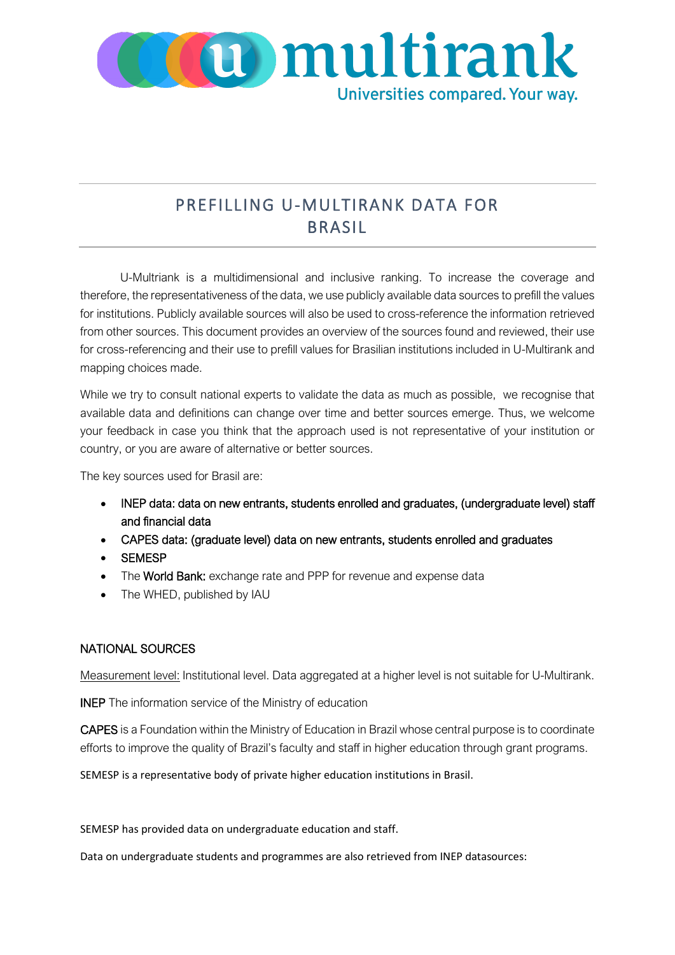

## PREFILLING U-MULTIRANK DATA FOR BRASIL

U-Multriank is a multidimensional and inclusive ranking. To increase the coverage and therefore, the representativeness of the data, we use publicly available data sources to prefill the values for institutions. Publicly available sources will also be used to cross-reference the information retrieved from other sources. This document provides an overview of the sources found and reviewed, their use for cross-referencing and their use to prefill values for Brasilian institutions included in U-Multirank and mapping choices made.

While we try to consult national experts to validate the data as much as possible, we recognise that available data and definitions can change over time and better sources emerge. Thus, we welcome your feedback in case you think that the approach used is not representative of your institution or country, or you are aware of alternative or better sources.

The key sources used for Brasil are:

- INEP data: data on new entrants, students enrolled and graduates, (undergraduate level) staff and financial data
- CAPES data: (graduate level) data on new entrants, students enrolled and graduates
- SEMESP
- The World Bank: exchange rate and PPP for revenue and expense data
- The WHED, published by IAU

## NATIONAL SOURCES

Measurement level: Institutional level. Data aggregated at a higher level is not suitable for U-Multirank.

INEP The information service of the Ministry of education

CAPES is a Foundation within the Ministry of Education in Brazil whose central purpose is to coordinate efforts to improve the quality of Brazil's faculty and staff in higher education through grant programs.

SEMESP is a representative body of private higher education institutions in Brasil.

SEMESP has provided data on undergraduate education and staff.

Data on undergraduate students and programmes are also retrieved from INEP datasources: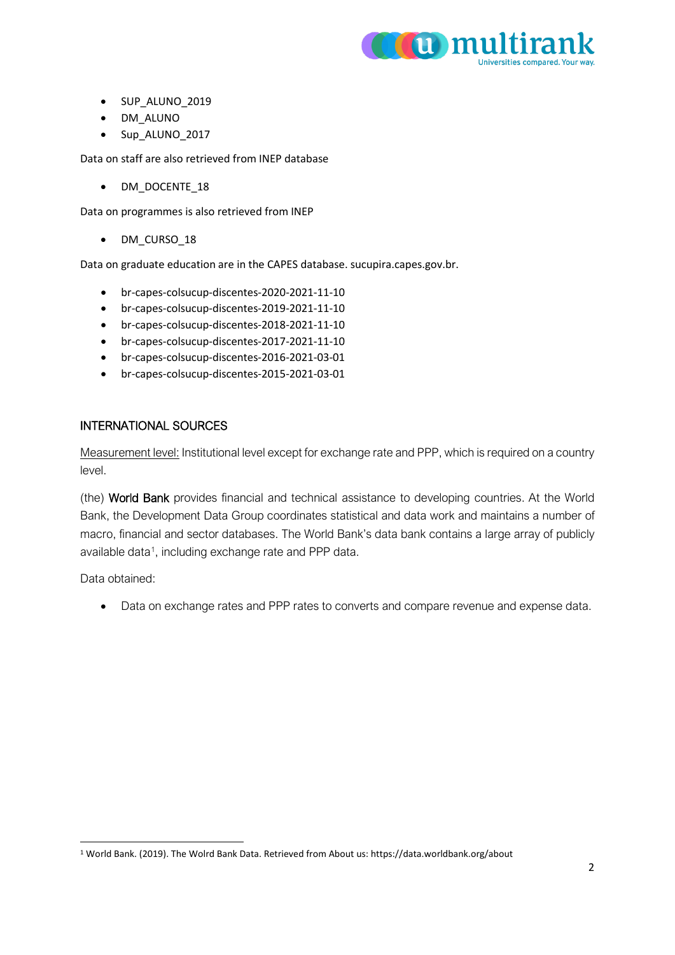

- SUP\_ALUNO\_2019
- DM\_ALUNO
- Sup\_ALUNO\_2017

Data on staff are also retrieved from INEP database

• DM\_DOCENTE\_18

Data on programmes is also retrieved from INEP

• DM\_CURSO\_18

Data on graduate education are in the CAPES database. sucupira.capes.gov.br.

- br-capes-colsucup-discentes-2020-2021-11-10
- br-capes-colsucup-discentes-2019-2021-11-10
- br-capes-colsucup-discentes-2018-2021-11-10
- br-capes-colsucup-discentes-2017-2021-11-10
- br-capes-colsucup-discentes-2016-2021-03-01
- br-capes-colsucup-discentes-2015-2021-03-01

## INTERNATIONAL SOURCES

Measurement level: Institutional level except for exchange rate and PPP, which is required on a country level.

(the) World Bank provides financial and technical assistance to developing countries. At the World Bank, the Development Data Group coordinates statistical and data work and maintains a number of macro, financial and sector databases. The World Bank's data bank contains a large array of publicly available data<sup>1</sup>, including exchange rate and PPP data.

Data obtained:

• Data on exchange rates and PPP rates to converts and compare revenue and expense data.

<span id="page-1-0"></span><sup>1</sup> World Bank. (2019). The Wolrd Bank Data. Retrieved from About us: https://data.worldbank.org/about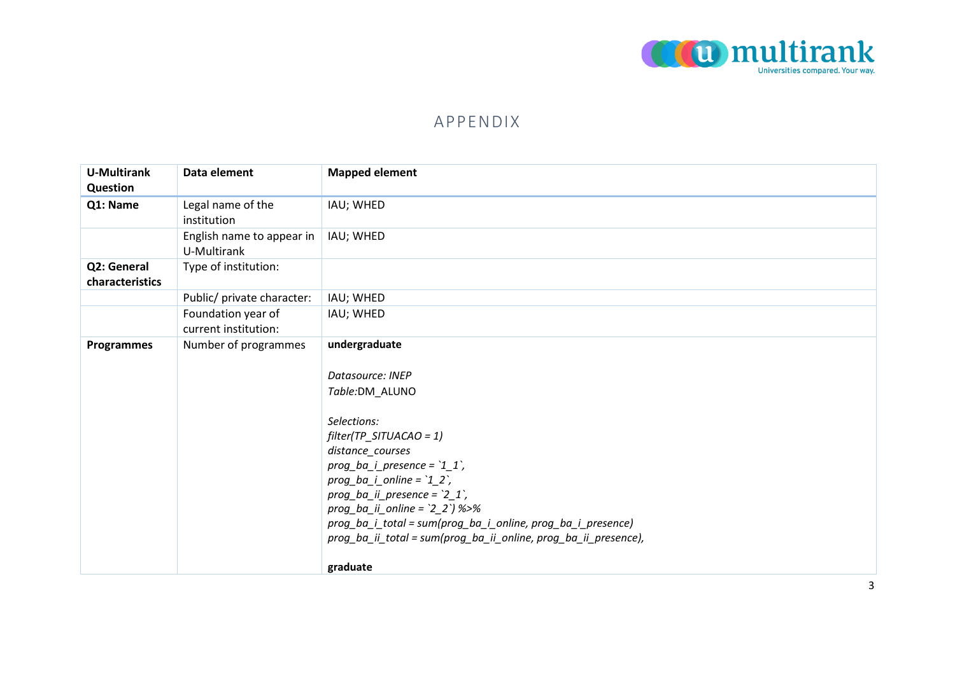

## APPENDIX

| <b>U-Multirank</b><br>Question | Data element                               | <b>Mapped element</b>                                                                                                                                                                                                                                                                                                                                                                                             |
|--------------------------------|--------------------------------------------|-------------------------------------------------------------------------------------------------------------------------------------------------------------------------------------------------------------------------------------------------------------------------------------------------------------------------------------------------------------------------------------------------------------------|
| Q1: Name                       | Legal name of the<br>institution           | IAU; WHED                                                                                                                                                                                                                                                                                                                                                                                                         |
|                                | English name to appear in<br>U-Multirank   | IAU; WHED                                                                                                                                                                                                                                                                                                                                                                                                         |
| Q2: General<br>characteristics | Type of institution:                       |                                                                                                                                                                                                                                                                                                                                                                                                                   |
|                                | Public/ private character:                 | IAU; WHED                                                                                                                                                                                                                                                                                                                                                                                                         |
|                                | Foundation year of<br>current institution: | IAU; WHED                                                                                                                                                                                                                                                                                                                                                                                                         |
| <b>Programmes</b>              | Number of programmes                       | undergraduate<br>Datasource: INEP<br>Table:DM_ALUNO<br>Selections:<br>$filter(TP\_SITUACAO = 1)$<br>distance_courses<br>$prog_ba_i_{pre}$ presence = $11$ ,<br>$prog\_ba\_i\_online = '1\_2',$<br>prog_ba_ii_presence = $2_1$ ,<br>$prog_ba_ii_online = '2_2')$ %>%<br>prog_ba_i_total = sum(prog_ba_i_online, prog_ba_i_presence)<br>prog_ba_ii_total = sum(prog_ba_ii_online, prog_ba_ii_presence),<br>graduate |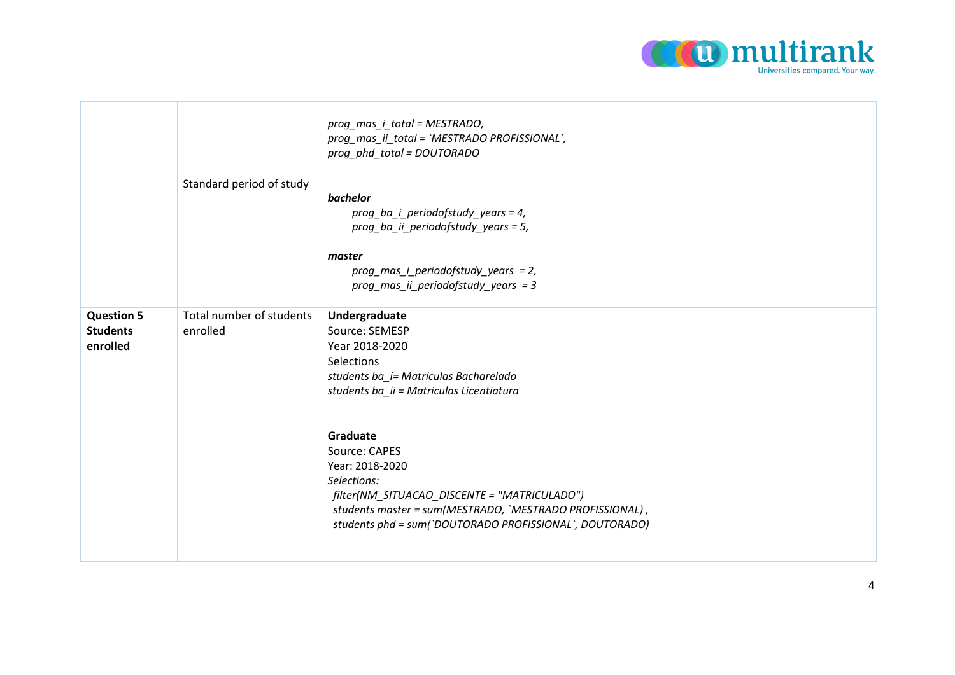

|                                                  |                                      | prog_mas_i_total = MESTRADO,<br>prog_mas_ii_total = `MESTRADO PROFISSIONAL`,<br>prog_phd_total = DOUTORADO                                                                                                                                                                                                                                                                                 |
|--------------------------------------------------|--------------------------------------|--------------------------------------------------------------------------------------------------------------------------------------------------------------------------------------------------------------------------------------------------------------------------------------------------------------------------------------------------------------------------------------------|
|                                                  | Standard period of study             | bachelor<br>prog_ba_i_periodofstudy_years = 4,<br>prog_ba_ii_periodofstudy_years = 5,<br>master<br>$prog\_mas_i\_periodofstudy\_years = 2,$<br>prog mas ii periodofstudy years = $3$                                                                                                                                                                                                       |
| <b>Question 5</b><br><b>Students</b><br>enrolled | Total number of students<br>enrolled | Undergraduate<br>Source: SEMESP<br>Year 2018-2020<br>Selections<br>students ba_i= Matrículas Bacharelado<br>students ba_ii = Matriculas Licentiatura<br>Graduate<br>Source: CAPES<br>Year: 2018-2020<br>Selections:<br>filter(NM_SITUACAO_DISCENTE = "MATRICULADO")<br>students master = sum(MESTRADO, `MESTRADO PROFISSIONAL),<br>students phd = sum(`DOUTORADO PROFISSIONAL`, DOUTORADO) |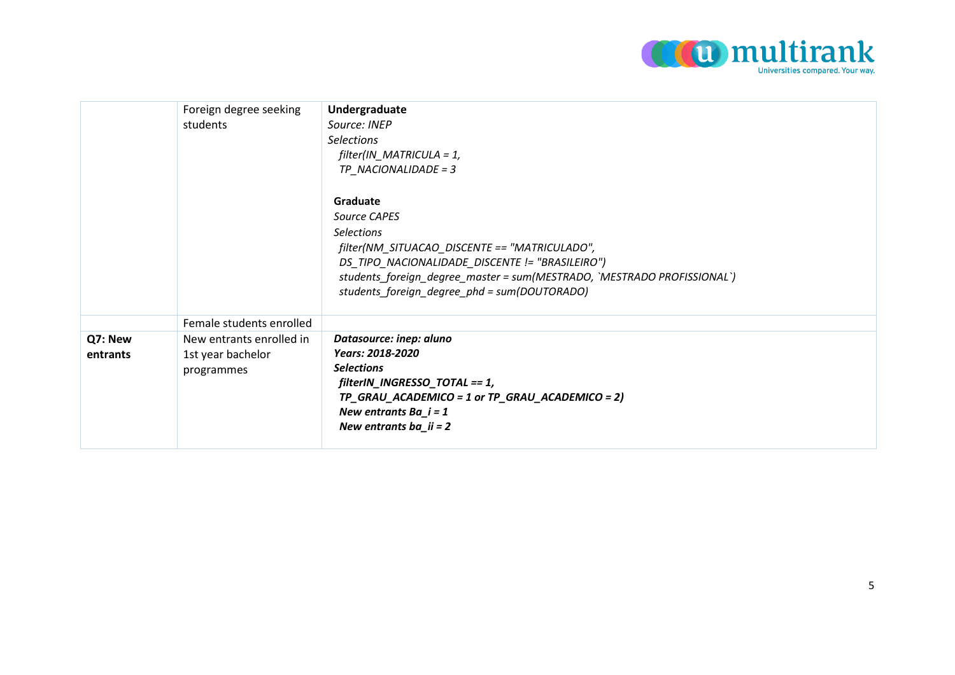

|                     | Foreign degree seeking<br>students                          | Undergraduate<br>Source: INEP<br><b>Selections</b><br>$filter/IN\_MATRICULA = 1,$<br>TP NACIONALIDADE = 3<br>Graduate<br>Source CAPES<br><b>Selections</b><br>filter(NM_SITUACAO_DISCENTE == "MATRICULADO",<br>DS_TIPO_NACIONALIDADE_DISCENTE != "BRASILEIRO")<br>students_foreign_degree_master = sum(MESTRADO, `MESTRADO PROFISSIONAL`)<br>students_foreign_degree_phd = sum(DOUTORADO) |
|---------------------|-------------------------------------------------------------|-------------------------------------------------------------------------------------------------------------------------------------------------------------------------------------------------------------------------------------------------------------------------------------------------------------------------------------------------------------------------------------------|
|                     | Female students enrolled                                    |                                                                                                                                                                                                                                                                                                                                                                                           |
| Q7: New<br>entrants | New entrants enrolled in<br>1st year bachelor<br>programmes | Datasource: inep: aluno<br>Years: 2018-2020<br><b>Selections</b><br>filterIN_INGRESSO_TOTAL == 1,<br>TP_GRAU_ACADEMICO = 1 or TP_GRAU_ACADEMICO = 2)<br>New entrants $Ba_i = 1$<br>New entrants ba_ii = $2$                                                                                                                                                                               |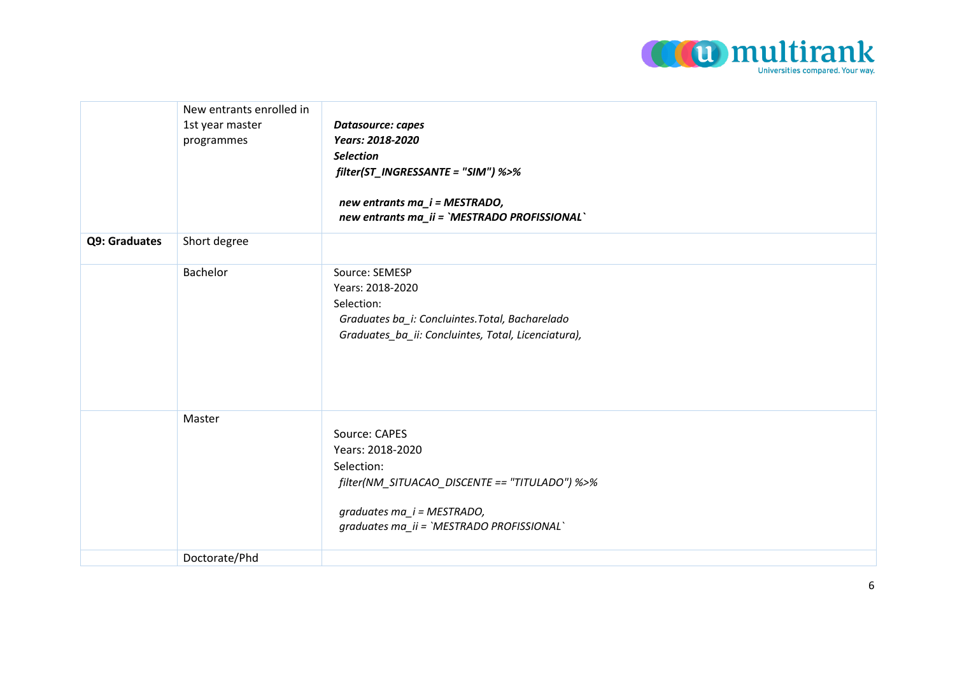

|               | New entrants enrolled in<br>1st year master<br>programmes | Datasource: capes<br>Years: 2018-2020<br><b>Selection</b><br>filter(ST_INGRESSANTE = "SIM") %>%<br>new entrants ma_i = MESTRADO,<br>new entrants ma_ii = `MESTRADO PROFISSIONAL` |
|---------------|-----------------------------------------------------------|----------------------------------------------------------------------------------------------------------------------------------------------------------------------------------|
| Q9: Graduates | Short degree                                              |                                                                                                                                                                                  |
|               | Bachelor                                                  | Source: SEMESP<br>Years: 2018-2020<br>Selection:<br>Graduates ba_i: Concluintes. Total, Bacharelado<br>Graduates_ba_ii: Concluintes, Total, Licenciatura),                       |
|               | Master                                                    | Source: CAPES<br>Years: 2018-2020<br>Selection:<br>filter(NM_SITUACAO_DISCENTE == "TITULADO") %>%<br>graduates ma_i = MESTRADO,<br>graduates ma_ii = `MESTRADO PROFISSIONAL`     |
|               | Doctorate/Phd                                             |                                                                                                                                                                                  |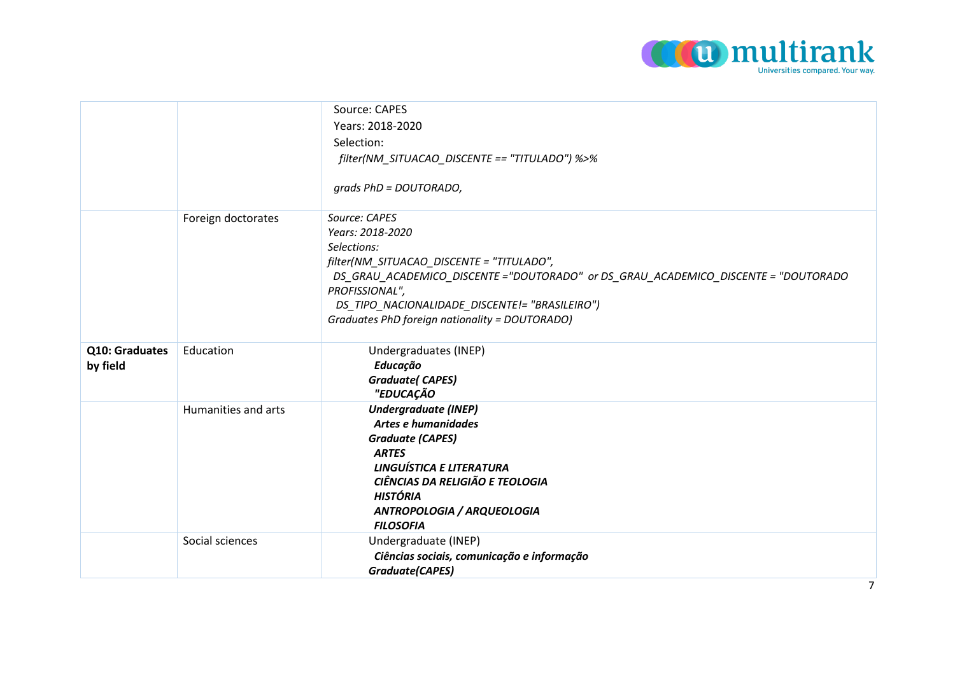

|                            |                     | Source: CAPES<br>Years: 2018-2020<br>Selection:<br>filter(NM_SITUACAO_DISCENTE == "TITULADO") %>%<br>$grads PhD = DOUTORADO,$                                                                                                                                                                             |
|----------------------------|---------------------|-----------------------------------------------------------------------------------------------------------------------------------------------------------------------------------------------------------------------------------------------------------------------------------------------------------|
|                            | Foreign doctorates  | Source: CAPES<br>Years: 2018-2020<br>Selections:<br>filter(NM_SITUACAO_DISCENTE = "TITULADO",<br>DS_GRAU_ACADEMICO_DISCENTE ="DOUTORADO" or DS_GRAU_ACADEMICO_DISCENTE = "DOUTORADO<br>PROFISSIONAL",<br>DS TIPO NACIONALIDADE DISCENTE!= "BRASILEIRO")<br>Graduates PhD foreign nationality = DOUTORADO) |
| Q10: Graduates<br>by field | Education           | Undergraduates (INEP)<br><b>Educação</b><br><b>Graduate(CAPES)</b><br>"EDUCAÇÃO                                                                                                                                                                                                                           |
|                            | Humanities and arts | <b>Undergraduate (INEP)</b><br>Artes e humanidades<br><b>Graduate (CAPES)</b><br><b>ARTES</b><br>LINGUÍSTICA E LITERATURA<br>CIÊNCIAS DA RELIGIÃO E TEOLOGIA<br><b>HISTÓRIA</b><br>ANTROPOLOGIA / ARQUEOLOGIA<br><b>FILOSOFIA</b>                                                                         |
|                            | Social sciences     | Undergraduate (INEP)<br>Ciências sociais, comunicação e informação<br><b>Graduate(CAPES)</b>                                                                                                                                                                                                              |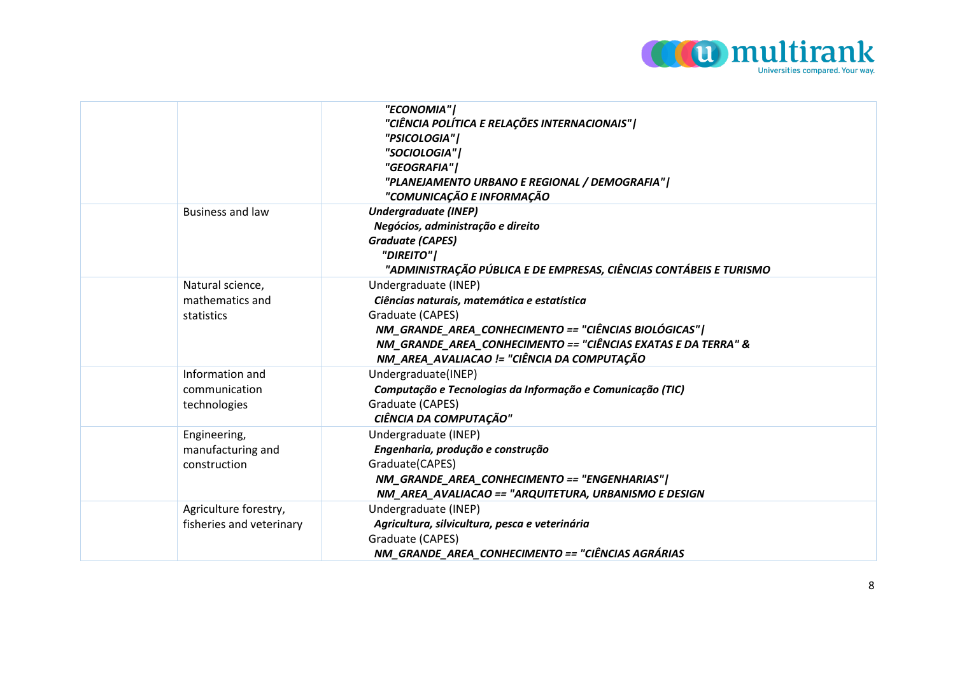

|                                                   | "ECONOMIA"  <br>"CIÊNCIA POLÍTICA E RELAÇÕES INTERNACIONAIS"  <br>"PSICOLOGIA"  <br>"SOCIOLOGIA"  <br>"GEOGRAFIA" <br>"PLANEJAMENTO URBANO E REGIONAL / DEMOGRAFIA"  <br>"COMUNICAÇÃO E INFORMAÇÃO                                                                |
|---------------------------------------------------|-------------------------------------------------------------------------------------------------------------------------------------------------------------------------------------------------------------------------------------------------------------------|
| <b>Business and law</b>                           | <b>Undergraduate (INEP)</b><br>Negócios, administração e direito<br><b>Graduate (CAPES)</b><br>"DIREITO"  <br>"ADMINISTRAÇÃO PÚBLICA E DE EMPRESAS, CIÊNCIAS CONTÁBEIS E TURISMO                                                                                  |
| Natural science,<br>mathematics and<br>statistics | Undergraduate (INEP)<br>Ciências naturais, matemática e estatística<br>Graduate (CAPES)<br>NM_GRANDE_AREA_CONHECIMENTO == "CIÊNCIAS BIOLÓGICAS"  <br>NM_GRANDE_AREA_CONHECIMENTO == "CIÊNCIAS EXATAS E DA TERRA" &<br>NM AREA AVALIACAO != "CIÊNCIA DA COMPUTAÇÃO |
| Information and<br>communication<br>technologies  | Undergraduate(INEP)<br>Computação e Tecnologias da Informação e Comunicação (TIC)<br>Graduate (CAPES)<br>CIÊNCIA DA COMPUTAÇÃO"                                                                                                                                   |
| Engineering,<br>manufacturing and<br>construction | Undergraduate (INEP)<br>Engenharia, produção e construção<br>Graduate(CAPES)<br>NM_GRANDE_AREA_CONHECIMENTO == "ENGENHARIAS"  <br>NM_AREA_AVALIACAO == "ARQUITETURA, URBANISMO E DESIGN                                                                           |
| Agriculture forestry,<br>fisheries and veterinary | Undergraduate (INEP)<br>Agricultura, silvicultura, pesca e veterinária<br>Graduate (CAPES)<br>NM_GRANDE_AREA_CONHECIMENTO == "CIÊNCIAS AGRÁRIAS                                                                                                                   |